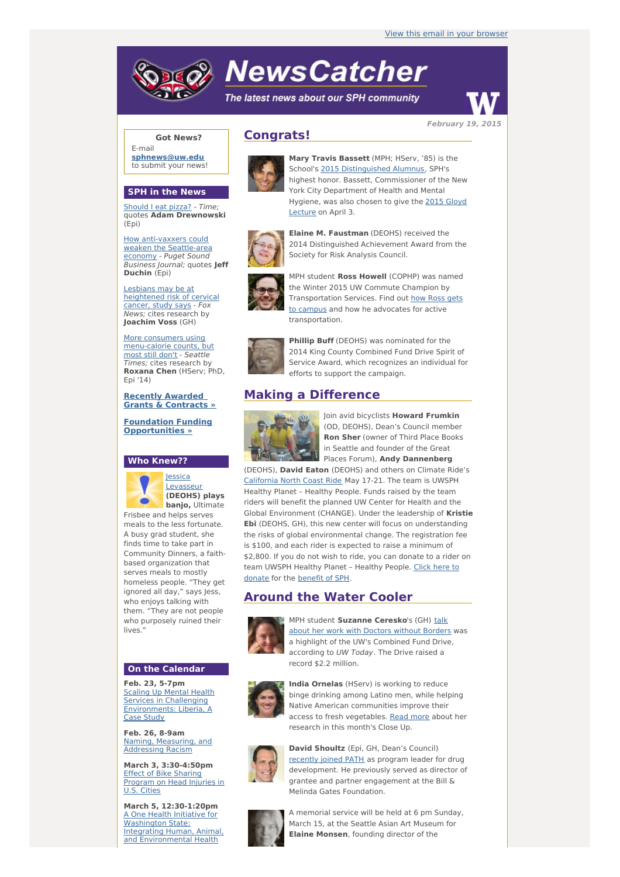# **NewsCatcher**

The latest news about our SPH community



**February 19, 2015**

### **Got News?**

E-mail **[sphnews@uw.edu](mailto:sphnews@uw.edu)** to submit your news!

#### **SPH in the News**

[Should](http://engage.washington.edu/site/R?i=UDE-qQ4VHNA4IR_mHGHPYw) I eat pizza? - Time; quotes **Adam Drewnowski** (Epi)

How [anti-vaxxers](http://engage.washington.edu/site/R?i=QiSsvzWa9wq4emeyVu-MSg) could weaken the Seattle-area economy - Puget Sound Business Journal; quotes **Jeff Duchin** (Epi)

Lesbians may be at [heightened](http://engage.washington.edu/site/R?i=GT1xvF1r_ddhZ71o82_AHA) risk of cervical cancer, study says - Fox News; cites research by **Joachim Voss** (GH)

More consumers using [menu-calorie](http://engage.washington.edu/site/R?i=EydDH-Abxh7MWdjmg2SvFg) counts, but most still don't - Seattle Times; cites research by **Roxana Chen** (HServ; PhD, Epi '14)

**Recently Awarded Grants & [Contracts](http://engage.washington.edu/site/R?i=M2OWBZ8jwnTh7KeAVvqBPA) »**

**Foundation Funding [Opportunities](http://engage.washington.edu/site/R?i=W6Kx02dXk1TcLcijIK9zmA) »**

## **Who Knew??**



Frisbee and helps serves meals to the less fortunate. A busy grad student, she finds time to take part in Community Dinners, a faithbased organization that serves meals to mostly homeless people. "They get ignored all day," says Jess, who enjoys talking with them. "They are not people who purposely ruined their lives.

#### **On the Calendar**

**Feb. 23, 5-7pm Scaling Up Mental Health** Services in Challenging [Environments:](http://engage.washington.edu/site/R?i=KnNNucs0TF3981JDR8LErw) Liberia, A Case Study

**Feb. 26, 8-9am** Naming, [Measuring,](http://engage.washington.edu/site/R?i=DfcyQhNz-3QAFVt62es7gQ) and Addressing Racism

**March 3, 3:30-4:50pm** Effect of Bike Sharing [Program](http://engage.washington.edu/site/R?i=PWU1dw1HanAIpQSSX9yKSQ) on Head Injuries in U.S. Cities

**March 5, 12:30-1:20pm** A One Health Initiative for Washington State: Integrating Human, Animal, and [Environmental](http://engage.washington.edu/site/R?i=ATq9Zu_F-_v22OMy6_cAeA) Health

# **Congrats!**



**Mary Travis Bassett** (MPH; HServ, '85) is the School's 2015 [Distinguished](http://engage.washington.edu/site/R?i=_hbFuwFc2OjOBd3mJvVoNw) Alumnus, SPH's highest honor. Bassett, Commissioner of the New York City Department of Health and Mental [Hygiene,](http://engage.washington.edu/site/R?i=Ly8KXttPf3nxfgQi3n8nNQ) was also chosen to give the 2015 Gloyd Lecture on April 3.



**Elaine M. Faustman** (DEOHS) received the 2014 Distinguished Achievement Award from the Society for Risk Analysis Council.



MPH student **Ross Howell** (COPHP) was named the Winter 2015 UW Commute Champion by [Transportation](http://engage.washington.edu/site/R?i=iSTrem1hp3bBn_ejHFXsSQ) Services. Find out how Ross gets to campus and how he advocates for active transportation.



**Phillip Buff** (DEOHS) was nominated for the 2014 King County Combined Fund Drive Spirit of Service Award, which recognizes an individual for efforts to support the campaign.

## **Making a Difference**



Join avid bicyclists **Howard Frumkin** (OD, DEOHS), Dean's Council member **Ron Sher** (owner of Third Place Books in Seattle and founder of the Great Places Forum), **Andy Dannenberg**

(DEOHS), **David Eaton** (DEOHS) and others on Climate Ride's [California](http://engage.washington.edu/site/R?i=79tCwGSLxluVg7L-VifY7A) North Coast Ride May 17-21. The team is UWSPH Healthy Planet – Healthy People. Funds raised by the team riders will benefit the planned UW Center for Health and the Global Environment (CHANGE). Under the leadership of **Kristie Ebi** (DEOHS, GH), this new center will focus on understanding the risks of global environmental change. The registration fee is \$100, and each rider is expected to raise a minimum of \$2,800. If you do not wish to ride, you can donate to a rider on team UWSPH [Healthy](http://engage.washington.edu/site/R?i=XkZTOaEQ0RC_IKYHVFvw1Q) Planet – Healthy People. Click here to donate for the [benefit](http://engage.washington.edu/site/R?i=wKmtZPt_sQCeTnRX4eGgqg) of SPH.

## **Around the Water Cooler**



MPH student **[Suzanne](http://engage.washington.edu/site/R?i=wO3YhBrFZnFioM4mWkX9Eg) Ceresko**'s (GH) talk about her work with Doctors without Borders was a highlight of the UW's Combined Fund Drive, according to UW Today. The Drive raised a record \$2.2 million.



**India Ornelas** (HServ) is working to reduce binge drinking among Latino men, while helping Native American communities improve their access to fresh vegetables. [Read](http://engage.washington.edu/site/R?i=_yYNSZ6t9k7ovjiBNGOj1Q) more about her research in this month's Close Up.



**David Shoultz** (Epi, GH, Dean's Council) [recently](http://engage.washington.edu/site/R?i=gDVhtrJgUTyB7lIZEmyEqQ) joined PATH as program leader for drug development. He previously served as director of grantee and partner engagement at the Bill & Melinda Gates Foundation.



A memorial service will be held at 6 pm Sunday, March 15, at the Seattle Asian Art Museum for **Elaine Monsen**, founding director of the